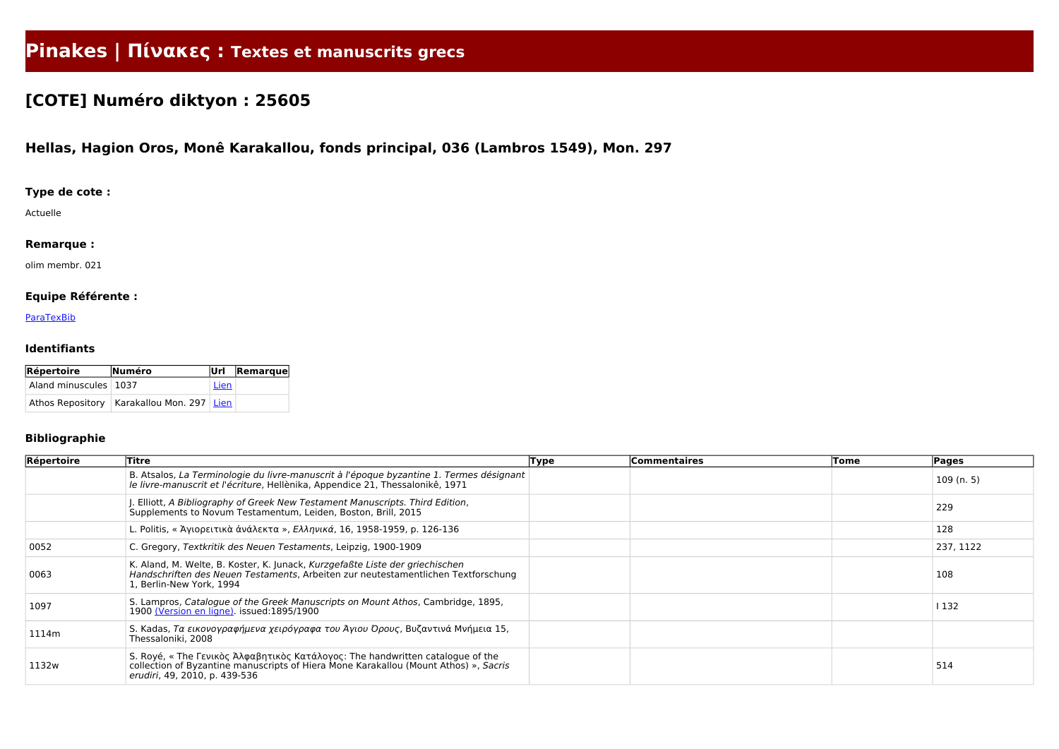# **Pinakes | Πίνακες : Textes et manuscrits grecs**

## **[COTE] Numéro diktyon : 25605**

### **Hellas, Hagion Oros, Monê Karakallou, fonds principal, 036 (Lambros 1549), Mon. 297**

#### **Type de cote :**

Actuelle

#### **Remarque :**

olim membr. 021

#### **Equipe Référente :**

**[ParaTexBib](http://www.paratexbib.eu)** 

#### **Identifiants**

| Répertoire              | Numéro                                        |      | Url Remarque |
|-------------------------|-----------------------------------------------|------|--------------|
| Aland minuscules   1037 |                                               | Lien |              |
|                         | Athos Repository   Karakallou Mon. 297   Lien |      |              |

#### **Bibliographie**

| Répertoire | <b>Titre</b>                                                                                                                                                                                            | <b>Type</b> | <b>Commentaires</b> | Tome | Pages     |  |
|------------|---------------------------------------------------------------------------------------------------------------------------------------------------------------------------------------------------------|-------------|---------------------|------|-----------|--|
|            | B. Atsalos, La Terminologie du livre-manuscrit à l'époque byzantine 1. Termes désignant<br>le livre-manuscrit et l'écriture, Hellènika, Appendice 21, Thessalonikê, 1971                                |             |                     |      | 109(n.5)  |  |
|            | . Elliott, A Bibliography of Greek New Testament Manuscripts. Third Edition,<br>Supplements to Novum Testamentum, Leiden, Boston, Brill, 2015                                                           |             |                     |      | 229       |  |
|            | L. Politis, «Άγιορειτικά άνάλεκτα », Ελληνικά, 16, 1958-1959, p. 126-136                                                                                                                                |             |                     |      | 128       |  |
| 0052       | C. Gregory, Textkritik des Neuen Testaments, Leipzig, 1900-1909                                                                                                                                         |             |                     |      | 237, 1122 |  |
| 0063       | K. Aland, M. Welte, B. Koster, K. Junack, Kurzgefaßte Liste der griechischen<br>Handschriften des Neuen Testaments, Arbeiten zur neutestamentlichen Textforschung<br>1, Berlin-New York, 1994           |             |                     |      | 108       |  |
| 1097       | S. Lampros, Catalogue of the Greek Manuscripts on Mount Athos, Cambridge, 1895,<br>1900 (Version en ligne) issued:1895/1900                                                                             |             |                     |      | 1132      |  |
| 1114m      | S. Kadas, Τα εικονογραφήμενα χειρόγραφα του Άγιου Όρους, Βυζαντινά Μνήμεια 15,<br>Thessaloniki, 2008                                                                                                    |             |                     |      |           |  |
| 1132w      | S. Royé, « The Γενικὸς Ἀλφαβητικὸς Κατάλογος: The handwritten catalogue of the<br>collection of Byzantine manuscripts of Hiera Mone Karakallou (Mount Athos) », Sacris<br>erudiri, 49, 2010, p. 439-536 |             |                     |      | 514       |  |